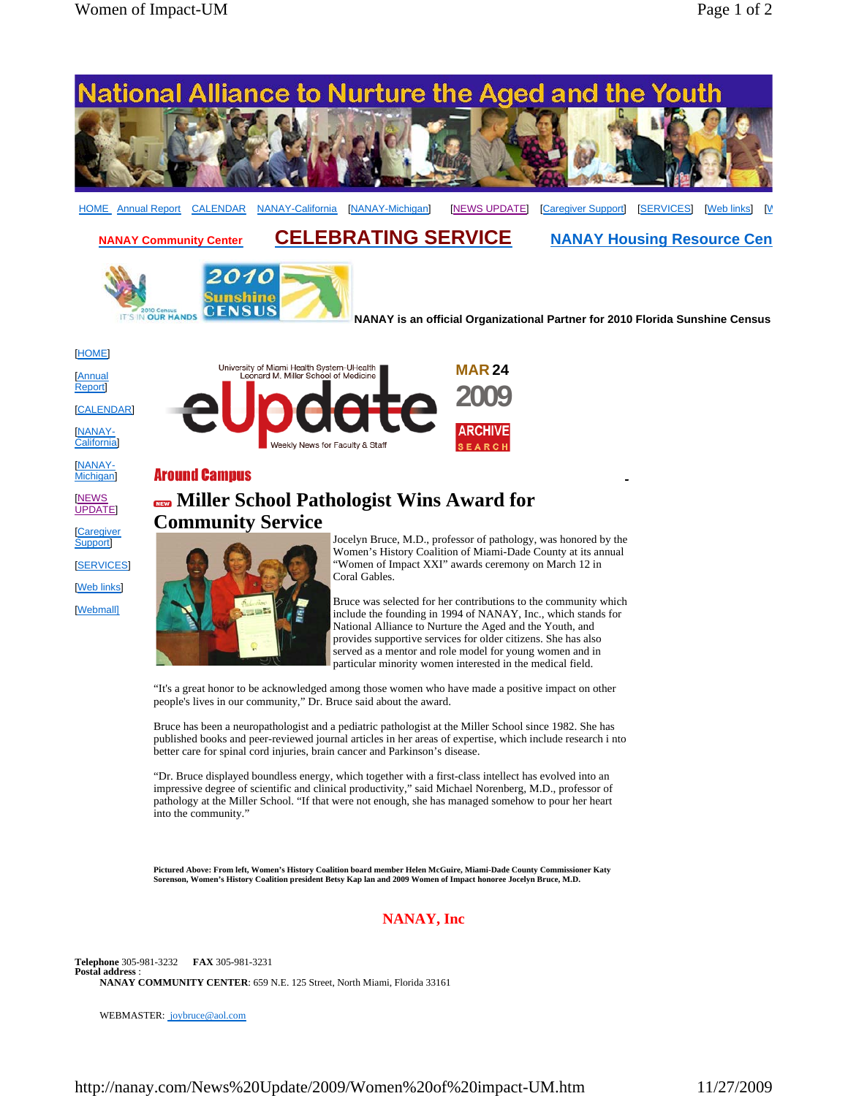

**Pictured Above: From left, Women's History Coalition board member Helen McGuire, Miami-Dade County Commissioner Katy Sorenson, Women's History Coalition president Betsy Kap lan and 2009 Women of Impact honoree Jocelyn Bruce, M.D.**

## **NANAY, Inc**

**Telephone** 305-981-3232 **FAX** 305-981-3231 **Postal address** : **NANAY COMMUNITY CENTER**: 659 N.E. 125 Street, North Miami, Florida 33161

WEBMASTER: joybruce@aol.com